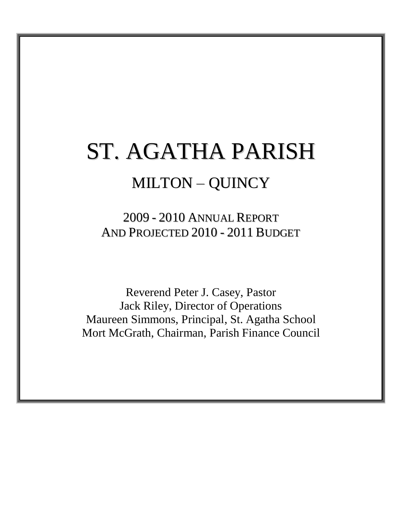# ST. AGATHA PARISH MILTON – QUINCY

2009 - 2010 ANNUAL REPORT AND PROJECTED 2010 - 2011 BUDGET

Reverend Peter J. Casey, Pastor Jack Riley, Director of Operations Maureen Simmons, Principal, St. Agatha School Mort McGrath, Chairman, Parish Finance Council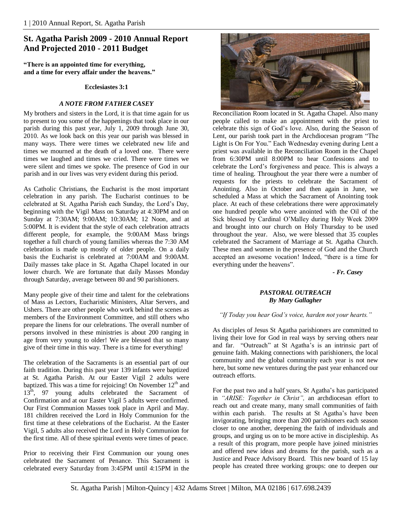# **St. Agatha Parish 2009 - 2010 Annual Report And Projected 2010 - 2011 Budget**

**"There is an appointed time for everything, and a time for every affair under the heavens."**

#### **Ecclesiastes 3:1**

#### *A NOTE FROM FATHER CASEY*

My brothers and sisters in the Lord, it is that time again for us to present to you some of the happenings that took place in our parish during this past year, July 1, 2009 through June 30, 2010. As we look back on this year our parish was blessed in many ways. There were times we celebrated new life and times we mourned at the death of a loved one. There were times we laughed and times we cried. There were times we were silent and times we spoke. The presence of God in our parish and in our lives was very evident during this period.

As Catholic Christians, the Eucharist is the most important celebration in any parish. The Eucharist continues to be celebrated at St. Agatha Parish each Sunday, the Lord"s Day, beginning with the Vigil Mass on Saturday at 4:30PM and on Sunday at 7:30AM; 9:00AM; 10:30AM; 12 Noon, and at 5:00PM. It is evident that the style of each celebration attracts different people, for example, the 9:00AM Mass brings together a full church of young families whereas the 7:30 AM celebration is made up mostly of older people. On a daily basis the Eucharist is celebrated at 7:00AM and 9:00AM. Daily masses take place in St. Agatha Chapel located in our lower church. We are fortunate that daily Masses Monday through Saturday, average between 80 and 90 parishioners.

Many people give of their time and talent for the celebrations of Mass as Lectors, Eucharistic Ministers, Altar Servers, and Ushers. There are other people who work behind the scenes as members of the Environment Committee, and still others who prepare the linens for our celebrations. The overall number of persons involved in these ministries is about 200 ranging in age from very young to older! We are blessed that so many give of their time in this way. There is a time for everything!

The celebration of the Sacraments is an essential part of our faith tradition. During this past year 139 infants were baptized at St. Agatha Parish. At our Easter Vigil 2 adults were baptized. This was a time for rejoicing! On November 12<sup>th</sup> and 13<sup>th</sup>, 97 young adults celebrated the Sacrament of Confirmation and at our Easter Vigil 5 adults were confirmed. Our First Communion Masses took place in April and May. 181 children received the Lord in Holy Communion for the first time at these celebrations of the Eucharist. At the Easter Vigil, 5 adults also received the Lord in Holy Communion for the first time. All of these spiritual events were times of peace.

Prior to receiving their First Communion our young ones celebrated the Sacrament of Penance. This Sacrament is celebrated every Saturday from 3:45PM until 4:15PM in the



Reconciliation Room located in St. Agatha Chapel. Also many people called to make an appointment with the priest to celebrate this sign of God"s love. Also, during the Season of Lent, our parish took part in the Archdiocesan program "The Light is On For You." Each Wednesday evening during Lent a priest was available in the Reconciliation Room in the Chapel from 6:30PM until 8:00PM to hear Confessions and to celebrate the Lord"s forgiveness and peace. This is always a time of healing. Throughout the year there were a number of requests for the priests to celebrate the Sacrament of Anointing. Also in October and then again in June, we scheduled a Mass at which the Sacrament of Anointing took place. At each of these celebrations there were approximately one hundred people who were anointed with the Oil of the Sick blessed by Cardinal O"Malley during Holy Week 2009 and brought into our church on Holy Thursday to be used throughout the year. Also, we were blessed that 35 couples celebrated the Sacrament of Marriage at St. Agatha Church. These men and women in the presence of God and the Church accepted an awesome vocation! Indeed, "there is a time for everything under the heavens".

*- Fr. Casey*

#### *PASTORAL OUTREACH By Mary Gallagher*

#### *"If Today you hear God's voice, harden not your hearts."*

As disciples of Jesus St Agatha parishioners are committed to living their love for God in real ways by serving others near and far. "Outreach" at St Agatha"s is an intrinsic part of genuine faith. Making connections with parishioners, the local community and the global community each year is not new here, but some new ventures during the past year enhanced our outreach efforts.

For the past two and a half years, St Agatha"s has participated in *"ARISE: Together in Christ",* an archdiocesan effort to reach out and create many, many small communities of faith within each parish. The results at St Agatha's have been invigorating, bringing more than 200 parishioners each season closer to one another, deepening the faith of individuals and groups, and urging us on to be more active in discipleship. As a result of this program, more people have joined ministries and offered new ideas and dreams for the parish, such as a Justice and Peace Advisory Board. This new board of 15 lay people has created three working groups: one to deepen our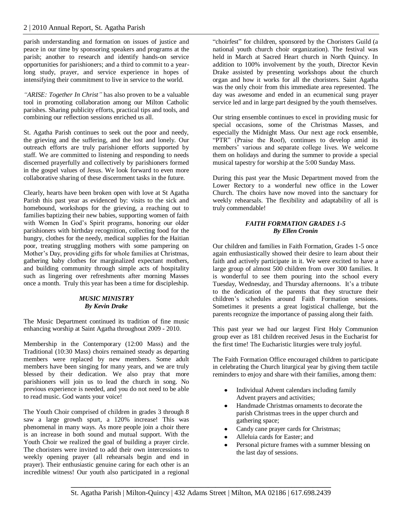parish understanding and formation on issues of justice and peace in our time by sponsoring speakers and programs at the parish; another to research and identify hands-on service opportunities for parishioners; and a third to commit to a yearlong study, prayer, and service experience in hopes of intensifying their commitment to live in service to the world.

*"ARISE: Together In Christ"* has also proven to be a valuable tool in promoting collaboration among our Milton Catholic parishes. Sharing publicity efforts, practical tips and tools, and combining our reflection sessions enriched us all.

St. Agatha Parish continues to seek out the poor and needy, the grieving and the suffering, and the lost and lonely. Our outreach efforts are truly parishioner efforts supported by staff. We are committed to listening and responding to needs discerned prayerfully and collectively by parishioners formed in the gospel values of Jesus. We look forward to even more collaborative sharing of these discernment tasks in the future.

Clearly, hearts have been broken open with love at St Agatha Parish this past year as evidenced by: visits to the sick and homebound, workshops for the grieving, a reaching out to families baptizing their new babies, supporting women of faith with Women In God"s Spirit programs, honoring our older parishioners with birthday recognition, collecting food for the hungry, clothes for the needy, medical supplies for the Haitian poor, treating struggling mothers with some pampering on Mother"s Day, providing gifts for whole families at Christmas, gathering baby clothes for marginalized expectant mothers, and building community through simple acts of hospitality such as lingering over refreshments after morning Masses once a month. Truly this year has been a time for discipleship.

#### *MUSIC MINISTRY By Kevin Drake*

The Music Department continued its tradition of fine music enhancing worship at Saint Agatha throughout 2009 - 2010.

Membership in the Contemporary (12:00 Mass) and the Traditional (10:30 Mass) choirs remained steady as departing members were replaced by new members. Some adult members have been singing for many years, and we are truly blessed by their dedication. We also pray that more parishioners will join us to lead the church in song. No previous experience is needed, and you do not need to be able to read music. God wants your voice!

The Youth Choir comprised of children in grades 3 through 8 saw a large growth spurt, a 120% increase! This was phenomenal in many ways. As more people join a choir there is an increase in both sound and mutual support. With the Youth Choir we realized the goal of building a prayer circle. The choristers were invited to add their own intercessions to weekly opening prayer (all rehearsals begin and end in prayer). Their enthusiastic genuine caring for each other is an incredible witness! Our youth also participated in a regional

"choirfest" for children, sponsored by the Choristers Guild (a national youth church choir organization). The festival was held in March at Sacred Heart church in North Quincy. In addition to 100% involvement by the youth, Director Kevin Drake assisted by presenting workshops about the church organ and how it works for all the choristers. Saint Agatha was the only choir from this immediate area represented. The day was awesome and ended in an ecumenical sung prayer service led and in large part designed by the youth themselves.

Our string ensemble continues to excel in providing music for special occasions, some of the Christmas Masses, and especially the Midnight Mass. Our next age rock ensemble, "PTR" (Praise the Roof), continues to develop amid its members" various and separate college lives. We welcome them on holidays and during the summer to provide a special musical tapestry for worship at the 5:00 Sunday Mass.

During this past year the Music Department moved from the Lower Rectory to a wonderful new office in the Lower Church. The choirs have now moved into the sanctuary for weekly rehearsals. The flexibility and adaptability of all is truly commendable!

# *FAITH FORMATION GRADES 1-5 By Ellen Cronin*

Our children and families in Faith Formation, Grades 1-5 once again enthusiastically showed their desire to learn about their faith and actively participate in it. We were excited to have a large group of almost 500 children from over 300 families. It is wonderful to see them pouring into the school every Tuesday, Wednesday, and Thursday afternoons. It's a tribute to the dedication of the parents that they structure their children"s schedules around Faith Formation sessions. Sometimes it presents a great logistical challenge, but the parents recognize the importance of passing along their faith.

This past year we had our largest First Holy Communion group ever as 181 children received Jesus in the Eucharist for the first time! The Eucharistic liturgies were truly joyful.

The Faith Formation Office encouraged children to participate in celebrating the Church liturgical year by giving them tactile reminders to enjoy and share with their families, among them:

- Individual Advent calendars including family Advent prayers and activities;
- Handmade Christmas ornaments to decorate the parish Christmas trees in the upper church and gathering space;
- Candy cane prayer cards for Christmas;
- Alleluia cards for Easter; and
- Personal picture frames with a summer blessing on the last day of sessions.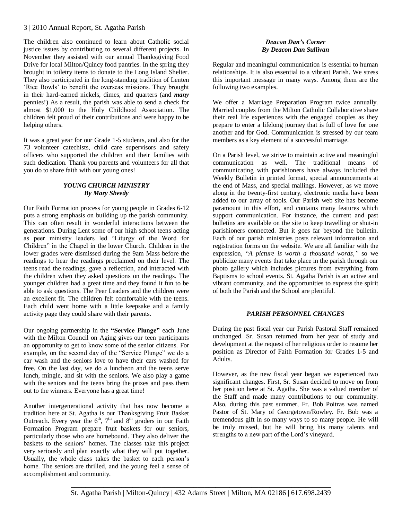The children also continued to learn about Catholic social justice issues by contributing to several different projects. In November they assisted with our annual Thanksgiving Food Drive for local Milton/Quincy food pantries. In the spring they brought in toiletry items to donate to the Long Island Shelter. They also participated in the long-standing tradition of Lenten 'Rice Bowls' to benefit the overseas missions. They brought in their hard-earned nickels, dimes, and quarters (and *many* pennies!) As a result, the parish was able to send a check for almost \$1,000 to the Holy Childhood Association. The children felt proud of their contributions and were happy to be helping others.

It was a great year for our Grade 1-5 students, and also for the 73 volunteer catechists, child care supervisors and safety officers who supported the children and their families with such dedication. Thank you parents and volunteers for all that you do to share faith with our young ones!

# *YOUNG CHURCH MINISTRY By Mary Sheedy*

Our Faith Formation process for young people in Grades 6-12 puts a strong emphasis on building up the parish community. This can often result in wonderful interactions between the generations. During Lent some of our high school teens acting as peer ministry leaders led "Liturgy of the Word for Children" in the Chapel in the lower Church. Children in the lower grades were dismissed during the 9am Mass before the readings to hear the readings proclaimed on their level. The teens read the readings, gave a reflection, and interacted with the children when they asked questions on the readings. The younger children had a great time and they found it fun to be able to ask questions. The Peer Leaders and the children were an excellent fit. The children felt comfortable with the teens. Each child went home with a little keepsake and a family activity page they could share with their parents.

Our ongoing partnership in the **"Service Plunge"** each June with the Milton Council on Aging gives our teen participants an opportunity to get to know some of the senior citizens. For example, on the second day of the "Service Plunge" we do a car wash and the seniors love to have their cars washed for free. On the last day, we do a luncheon and the teens serve lunch, mingle, and sit with the seniors. We also play a game with the seniors and the teens bring the prizes and pass them out to the winners. Everyone has a great time!

Another intergenerational activity that has now become a tradition here at St. Agatha is our Thanksgiving Fruit Basket Outreach. Every year the  $6<sup>th</sup>$ ,  $7<sup>th</sup>$  and  $8<sup>th</sup>$  graders in our Faith Formation Program prepare fruit baskets for our seniors, particularly those who are homebound. They also deliver the baskets to the seniors" homes. The classes take this project very seriously and plan exactly what they will put together. Usually, the whole class takes the basket to each person"s home. The seniors are thrilled, and the young feel a sense of accomplishment and community.

#### *Deacon Dan's Corner By Deacon Dan Sullivan*

Regular and meaningful communication is essential to human relationships. It is also essential to a vibrant Parish. We stress this important message in many ways. Among them are the following two examples.

We offer a Marriage Preparation Program twice annually. Married couples from the Milton Catholic Collaborative share their real life experiences with the engaged couples as they prepare to enter a lifelong journey that is full of love for one another and for God. Communication is stressed by our team members as a key element of a successful marriage.

On a Parish level, we strive to maintain active and meaningful communication as well. The traditional means of communicating with parishioners have always included the Weekly Bulletin in printed format, special announcements at the end of Mass, and special mailings. However, as we move along in the twenty-first century, electronic media have been added to our array of tools. Our Parish web site has become paramount in this effort, and contains many features which support communication. For instance, the current and past bulletins are available on the site to keep travelling or shut-in parishioners connected. But it goes far beyond the bulletin. Each of our parish ministries posts relevant information and registration forms on the website. We are all familiar with the expression, "*A picture is worth a thousand words,"* so we publicize many events that take place in the parish through our photo gallery which includes pictures from everything from Baptisms to school events. St. Agatha Parish is an active and vibrant community, and the opportunities to express the spirit of both the Parish and the School are plentiful.

# *PARISH PERSONNEL CHANGES*

During the past fiscal year our Parish Pastoral Staff remained unchanged. Sr. Susan returned from her year of study and development at the request of her religious order to resume her position as Director of Faith Formation for Grades 1-5 and Adults.

However, as the new fiscal year began we experienced two significant changes. First, Sr. Susan decided to move on from her position here at St. Agatha. She was a valued member of the Staff and made many contributions to our community. Also, during this past summer, Fr. Bob Poitras was named Pastor of St. Mary of Georgetown/Rowley. Fr. Bob was a tremendous gift in so many ways to so many people. He will be truly missed, but he will bring his many talents and strengths to a new part of the Lord"s vineyard.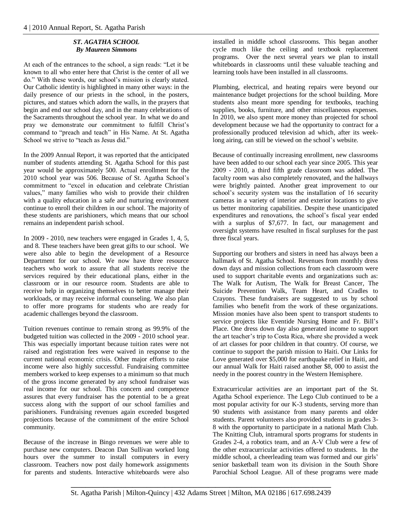#### *ST. AGATHA SCHOOL By Maureen Simmons*

At each of the entrances to the school, a sign reads: "Let it be known to all who enter here that Christ is the center of all we do." With these words, our school"s mission is clearly stated. Our Catholic identity is highlighted in many other ways: in the daily presence of our priests in the school, in the posters, pictures, and statues which adorn the walls, in the prayers that begin and end our school day, and in the many celebrations of the Sacraments throughout the school year. In what we do and pray we demonstrate our commitment to fulfill Christ"s command to "preach and teach" in His Name. At St. Agatha School we strive to "teach as Jesus did."

In the 2009 Annual Report, it was reported that the anticipated number of students attending St. Agatha School for this past year would be approximately 500. Actual enrollment for the 2010 school year was 506. Because of St. Agatha School"s commitment to "excel in education and celebrate Christian values," many families who wish to provide their children with a quality education in a safe and nurturing environment continue to enroll their children in our school. The majority of these students are parishioners, which means that our school remains an independent parish school.

In 2009 - 2010, new teachers were engaged in Grades 1, 4, 5, and 8. These teachers have been great gifts to our school. We were also able to begin the development of a Resource Department for our school. We now have three resource teachers who work to assure that all students receive the services required by their educational plans, either in the classroom or in our resource room. Students are able to receive help in organizing themselves to better manage their workloads, or may receive informal counseling. We also plan to offer more programs for students who are ready for academic challenges beyond the classroom.

Tuition revenues continue to remain strong as 99.9% of the budgeted tuition was collected in the 2009 - 2010 school year. This was especially important because tuition rates were not raised and registration fees were waived in response to the current national economic crisis. Other major efforts to raise income were also highly successful. Fundraising committee members worked to keep expenses to a minimum so that much of the gross income generated by any school fundraiser was real income for our school. This concern and competence assures that every fundraiser has the potential to be a great success along with the support of our school families and parishioners. Fundraising revenues again exceeded busgeted projections because of the commitment of the entire School community.

Because of the increase in Bingo revenues we were able to purchase new computers. Deacon Dan Sullivan worked long hours over the summer to install computers in every classroom. Teachers now post daily homework assignments for parents and students. Interactive whiteboards were also

installed in middle school classrooms. This began another cycle much like the ceiling and textbook replacement programs. Over the next several years we plan to install whiteboards in classrooms until these valuable teaching and learning tools have been installed in all classrooms.

Plumbing, electrical, and heating repairs were beyond our maintenance budget projections for the school building. More students also meant more spending for textbooks, teaching supplies, books, furniture, and other miscellaneous expenses. In 2010, we also spent more money than projected for school development because we had the opportunity to contract for a professionally produced television ad which, after its weeklong airing, can still be viewed on the school's website.

Because of continually increasing enrollment, new classrooms have been added to our school each year since 2005. This year 2009 - 2010, a third fifth grade classroom was added. The faculty room was also completely renovated, and the hallways were brightly painted. Another great improvement to our school's security system was the installation of 16 security cameras in a variety of interior and exterior locations to give us better monitoring capabilities. Despite these unanticipated expenditures and renovations, the school"s fiscal year ended with a surplus of \$7,677. In fact, our management and oversight systems have resulted in fiscal surpluses for the past three fiscal years.

Supporting our brothers and sisters in need has always been a hallmark of St. Agatha School. Revenues from monthly dress down days and mission collections from each classroom were used to support charitable events and organizations such as: The Walk for Autism, The Walk for Breast Cancer, The Suicide Prevention Walk, Team Heart, and Cradles to Crayons. These fundraisers are suggested to us by school families who benefit from the work of these organizations. Mission monies have also been spent to transport students to service projects like Eventide Nursing Home and Fr. Bill"s Place. One dress down day also generated income to support the art teacher"s trip to Costa Rica, where she provided a week of art classes for poor children in that country. Of course, we continue to support the parish mission to Haiti. Our Links for Love generated over \$5,000 for earthquake relief in Haiti, and our annual Walk for Haiti raised another \$8, 000 to assist the needy in the poorest country in the Western Hemisphere.

Extracurricular activities are an important part of the St. Agatha School experience. The Lego Club continued to be a most popular activity for our K-3 students, serving more than 90 students with assistance from many parents and older students. Parent volunteers also provided students in grades 3- 8 with the opportunity to participate in a national Math Club. The Knitting Club, intramural sports programs for students in Grades 2-4, a robotics team, and an A-V Club were a few of the other extracurricular activities offered to students. In the middle school, a cheerleading team was formed and our girls" senior basketball team won its division in the South Shore Parochial School League. All of these programs were made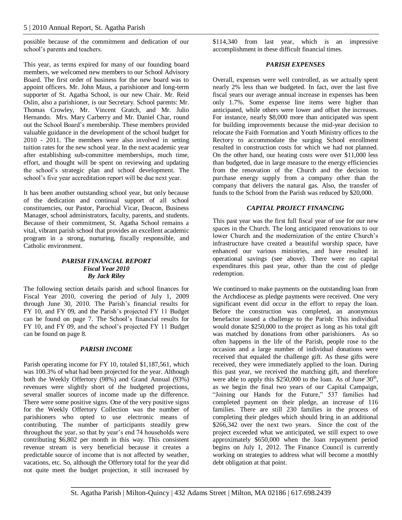possible because of the commitment and dedication of our school"s parents and teachers.

This year, as terms expired for many of our founding board members, we welcomed new members to our School Advisory Board. The first order of business for the new board was to appoint officers. Mr. John Maus, a parishioner and long-term supporter of St. Agatha School, is our new Chair. Mr. Reid Oslin, also a parishioner, is our Secretary. School parents: Mr. Thomas Crowley, Mr. Vincent Gratch, and Mr. Julio Hernando. Mrs. Mary Carberry and Mr. Daniel Char, round out the School Board"s membership. These members provided valuable guidance in the development of the school budget for 2010 - 2011. The members were also involved in setting tuition rates for the new school year. In the next academic year after establishing sub-committee memberships, much time, effort, and thought will be spent on reviewing and updating the school"s strategic plan and school development. The school's five year accreditation report will be due next year.

It has been another outstanding school year, but only because of the dedication and continual support of all school constituencies, our Pastor, Parochial Vicar, Deacon, Business Manager, school administrators, faculty, parents, and students. Because of their commitment, St. Agatha School remains a vital, vibrant parish school that provides an excellent academic program in a strong, nurturing, fiscally responsible, and Catholic environment.

#### *PARISH FINANCIAL REPORT Fiscal Year 2010 By Jack Riley*

The following section details parish and school finances for Fiscal Year 2010, covering the period of July 1, 2009 through June 30, 2010. The Parish"s financial results for FY 10, and FY 09, and the Parish's projected FY 11 Budget can be found on page 7. The School"s financial results for FY 10, and FY 09, and the school"s projected FY 11 Budget can be found on page 8.

#### *PARISH INCOME*

Parish operating income for FY 10, totaled \$1,187,561, which was 100.3% of what had been projected for the year. Although both the Weekly Offertory (98%) and Grand Annual (93%) revenues were slightly short of the budgeted projections, several smaller sources of income made up the difference. There were some positive signs. One of the very positive signs for the Weekly Offertory Collection was the number of parishioners who opted to use electronic means of contributing. The number of participants steadily grew throughout the year, so that by year"s end 74 households were contributing \$6,802 per month in this way. This consistent revenue stream is very beneficial because it creates a predictable source of income that is not affected by weather, vacations, etc. So, although the Offertory total for the year did not quite meet the budget projection, it still increased by

\$114,340 from last year, which is an impressive accomplishment in these difficult financial times.

#### *PARISH EXPENSES*

Overall, expenses were well controlled, as we actually spent nearly 2% less than we budgeted. In fact, over the last five fiscal years our average annual increase in expenses has been only 1.7%. Some expense line items were higher than anticipated, while others were lower and offset the increases. For instance, nearly \$8,000 more than anticipated was spent for building improvements because the mid-year decision to relocate the Faith Formation and Youth Ministry offices to the Rectory to accommodate the surging School enrollment resulted in construction costs for which we had not planned. On the other hand, our heating costs were over \$11,000 less than budgeted, due in large measure to the energy efficiencies from the renovation of the Church and the decision to purchase energy supply from a company other than the company that delivers the natural gas. Also, the transfer of funds to the School from the Parish was reduced by \$20,000.

#### *CAPITAL PROJECT FINANCING*

This past year was the first full fiscal year of use for our new spaces in the Church. The long anticipated renovations to our lower Church and the modernization of the entire Church's infrastructure have created a beautiful worship space, have enhanced our various ministries, and have resulted in operational savings (see above). There were no capital expenditures this past year, other than the cost of pledge redemption.

We continued to make payments on the outstanding loan from the Archdiocese as pledge payments were received. One very significant event did occur in the effort to repay the loan. Before the construction was completed, an anonymous benefactor issued a challenge to the Parish: This individual would donate \$250,000 to the project as long as his total gift was matched by donations from other parishioners. As so often happens in the life of the Parish, people rose to the occasion and a large number of individual donations were received that equaled the challenge gift. As these gifts were received, they were immediately applied to the loan. During this past year, we received the matching gift, and therefore were able to apply this  $$250,000$  to the loan. As of June  $30<sup>th</sup>$ , as we begin the final two years of our Capital Campaign, "Joining our Hands for the Future," 537 families had completed payment on their pledge, an increase of 116 families. There are still 230 families in the process of completing their pledges which should bring in an additional \$266,342 over the next two years. Since the cost of the project exceeded what we anticipated, we still expect to owe approximately \$650,000 when the loan repayment period begins on July 1, 2012. The Finance Council is currently working on strategies to address what will become a monthly debt obligation at that point.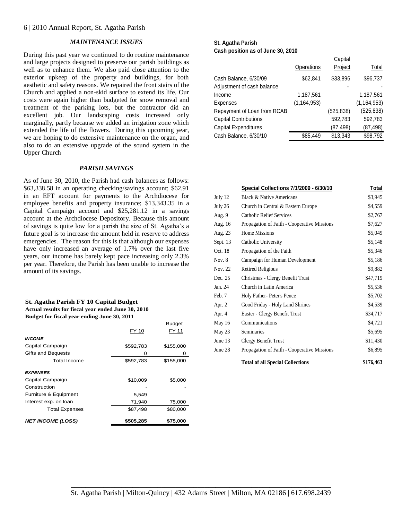#### *MAINTENANCE ISSUES*

During this past year we continued to do routine maintenance and large projects designed to preserve our parish buildings as well as to enhance them. We also paid close attention to the exterior upkeep of the property and buildings, for both aesthetic and safety reasons. We repaired the front stairs of the Church and applied a non-skid surface to extend its life. Our costs were again higher than budgeted for snow removal and treatment of the parking lots, but the contractor did an excellent job. Our landscaping costs increased only marginally, partly because we added an irrigation zone which extended the life of the flowers. During this upcoming year, we are hoping to do extensive maintenance on the organ, and also to do an extensive upgrade of the sound system in the Upper Church

#### *PARISH SAVINGS*

As of June 30, 2010, the Parish had cash balances as follows: \$63,338.58 in an operating checking/savings account; \$62.91 in an EFT account for payments to the Archdiocese for employee benefits and property insurance; \$13,343.35 in a Capital Campaign account and \$25,281.12 in a savings account at the Archdiocese Depository. Because this amount of savings is quite low for a parish the size of St. Agatha"s a future goal is to increase the amount held in reserve to address emergencies. The reason for this is that although our expenses have only increased an average of 1.7% over the last five years, our income has barely kept pace increasing only 2.3% per year. Therefore, the Parish has been unable to increase the amount of its savings.

#### **St. Agatha Parish FY 10 Capital Budget Actual results for fiscal year ended June 30, 2010**

**Budget for fiscal year ending June 30, 2011**

|                          |           | <b>Budget</b> |
|--------------------------|-----------|---------------|
|                          | FY 10     | FY 11         |
| <b>INCOME</b>            |           |               |
| Capital Campaign         | \$592,783 | \$155,000     |
| Gifts and Bequests       | Ω         | 0             |
| Total Income             | \$592,783 | \$155,000     |
| <b>EXPENSES</b>          |           |               |
| Capital Campaign         | \$10,009  | \$5,000       |
| Construction             |           |               |
| Furniture & Equipment    | 5,549     |               |
| Interest exp. on loan    | 71,940    | 75,000        |
| <b>Total Expenses</b>    | \$87,498  | \$80,000      |
| <b>NET INCOME (LOSS)</b> | \$505,285 | \$75,000      |

#### **St. Agatha Parish Cash position as of June 30, 2010**

|                              |               | Capital   |               |
|------------------------------|---------------|-----------|---------------|
|                              | Operations    | Project   | Total         |
| Cash Balance, 6/30/09        | \$62,841      | \$33,896  | \$96,737      |
| Adjustment of cash balance   |               |           |               |
| Income                       | 1,187,561     |           | 1,187,561     |
| <b>Expenses</b>              | (1, 164, 953) |           | (1, 164, 953) |
| Repayment of Loan from RCAB  |               | (525,838) | (525, 838)    |
| <b>Capital Contributions</b> |               | 592,783   | 592,783       |
| <b>Capital Expenditures</b>  |               | (87,498)  | (87,498)      |
| Cash Balance, 6/30/10        | \$85,449      | \$13,343  | \$98,792      |
|                              |               |           |               |

|          | Special Collections 7/1/2009 - 6/30/10      | <u>Total</u> |
|----------|---------------------------------------------|--------------|
| July 12  | <b>Black &amp; Native Americans</b>         | \$3,945      |
| July 26  | Church in Central & Eastern Europe          | \$4,559      |
| Aug. 9   | <b>Catholic Relief Services</b>             | \$2,767      |
| Aug. 16  | Propagation of Faith - Cooperative Missions | \$7,627      |
| Aug. 23  | <b>Home Missions</b>                        | \$5,049      |
| Sept. 13 | Catholic University                         | \$5,148      |
| Oct. 18  | Propagation of the Faith                    | \$5,346      |
| Nov. 8   | Campaign for Human Development              | \$5,186      |
| Nov. 22  | <b>Retired Religious</b>                    | \$9,882      |
| Dec. 25  | Christmas - Clergy Benefit Trust            | \$47,719     |
| Jan. 24  | Church in Latin America                     | \$5,536      |
| Feb. 7   | Holy Father-Peter's Pence                   | \$5,702      |
| Apr. 2   | Good Friday - Holy Land Shrines             | \$4,539      |
| Apr. 4   | Easter - Clergy Benefit Trust               | \$34,717     |
| May 16   | Communications                              | \$4,721      |
| May 23   | Seminaries                                  | \$5,695      |
| June 13  | Clergy Benefit Trust                        | \$11,430     |
| June 28  | Propagation of Faith - Cooperative Missions | \$6,895      |
|          | <b>Total of all Special Collections</b>     | \$176,463    |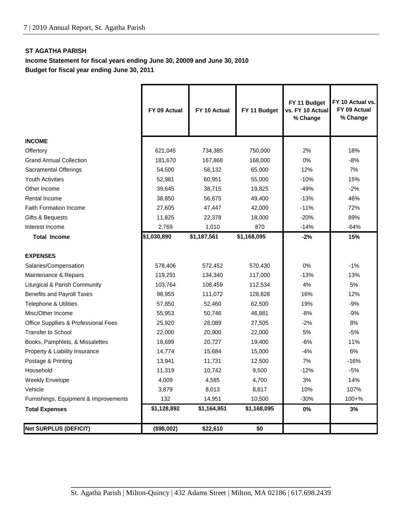# **ST AGATHA PARISH**

**Income Statement for fiscal years ending June 30, 20009 and June 30, 2010 Budget for fiscal year ending June 30, 2011**

|                                       | FY 09 Actual | FY 10 Actual | FY 11 Budget | FY 11 Budget<br>vs. FY 10 Actual<br>% Change | FY 10 Actual vs.<br>FY 09 Actual<br>% Change |
|---------------------------------------|--------------|--------------|--------------|----------------------------------------------|----------------------------------------------|
| <b>INCOME</b>                         |              |              |              |                                              |                                              |
| Offertory                             | 621,045      | 734,385      | 750,000      | 2%                                           | 18%                                          |
| <b>Grand Annual Collection</b>        | 181,670      | 167,868      | 168,000      | 0%                                           | $-8%$                                        |
| Sacramental Offerings                 | 54,500       | 58,132       | 65,000       | 12%                                          | 7%                                           |
| <b>Youth Activities</b>               | 52,981       | 60,951       | 55,000       | $-10%$                                       | 15%                                          |
| Other Income                          | 39,645       | 38,715       | 19,825       | $-49%$                                       | $-2%$                                        |
| Rental Income                         | 38,850       | 56,675       | 49,400       | $-13%$                                       | 46%                                          |
| <b>Faith Formation Income</b>         | 27,605       | 47,447       | 42,000       | $-11%$                                       | 72%                                          |
| Gifts & Bequests                      | 11,825       | 22,378       | 18,000       | $-20%$                                       | 89%                                          |
| Interest Income                       | 2,769        | 1,010        | 870          | $-14%$                                       | $-64%$                                       |
| <b>Total Income</b>                   | \$1,030,890  | \$1,187,561  | \$1,168,095  | $-2%$                                        | 15%                                          |
|                                       |              |              |              |                                              |                                              |
| <b>EXPENSES</b>                       |              |              |              |                                              |                                              |
| Salaries/Compensation                 | 578,406      | 572,452      | 570,430      | 0%                                           | $-1%$                                        |
| Maintenance & Repairs                 | 119,291      | 134,340      | 117,000      | $-13%$                                       | 13%                                          |
| Liturgical & Parish Community         | 103,764      | 108,459      | 112,534      | 4%                                           | 5%                                           |
| <b>Benefits and Payroll Taxes</b>     | 98,955       | 111,072      | 128,828      | 16%                                          | 12%                                          |
| Telephone & Utilities                 | 57,850       | 52,460       | 62,500       | 19%                                          | $-9%$                                        |
| Misc/Other Income                     | 55,953       | 50,746       | 46,881       | $-8%$                                        | $-9%$                                        |
| Office Suppllies & Professional Fees  | 25,920       | 28,089       | 27,505       | $-2%$                                        | 8%                                           |
| <b>Transfer to School</b>             | 22,000       | 20,900       | 22,000       | 5%                                           | $-5%$                                        |
| Books, Pamphlets, & Missalettes       | 18,699       | 20,727       | 19,400       | $-6%$                                        | 11%                                          |
| Property & Liability Insurance        | 14,774       | 15,684       | 15,000       | $-4%$                                        | 6%                                           |
| Postage & Printing                    | 13,941       | 11,731       | 12,500       | 7%                                           | $-16%$                                       |
| Household                             | 11,319       | 10,742       | 9,500        | $-12%$                                       | $-5%$                                        |
| <b>Weekly Envelope</b>                | 4,009        | 4,585        | 4,700        | 3%                                           | 14%                                          |
| Vehicle                               | 3,879        | 8,013        | 8,817        | 10%                                          | 107%                                         |
| Furnishings, Equipment & Improvements | 132          | 14,951       | 10,500       | $-30%$                                       | $100 + %$                                    |
| <b>Total Expenses</b>                 | \$1,128,892  | \$1,164,951  | \$1,168,095  | 0%                                           | 3%                                           |
| <b>Net SURPLUS (DEFICIT)</b>          | (\$98,002)   | \$22,610     | \$0          |                                              |                                              |